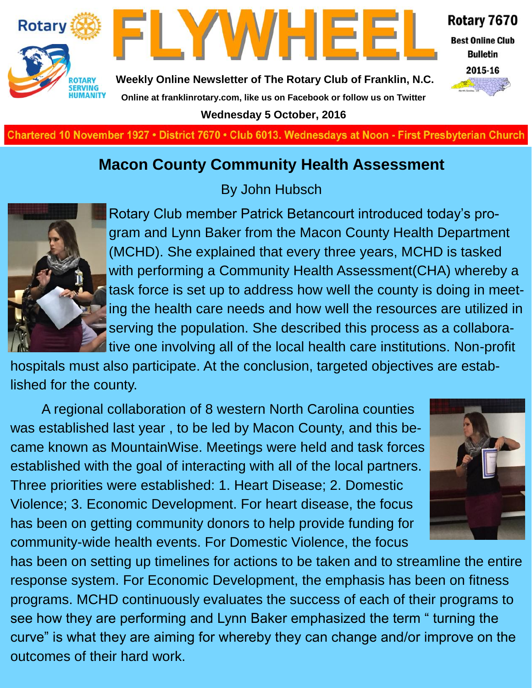



Rotary 7670

**Best Online Club Bulletin** 



**Weekly Online Newsletter of The Rotary Club of Franklin, N.C. Online at franklinrotary.com, like us on Facebook or follow us on Twitter**

**Wednesday 5 October, 2016**

**Charted November 29, 1927 • District 7670 • Club 6013 Wednesdays at Noon - First Presbyterian Church**

#### **Macon County Community Health Assessment**



By John Hubsch

Rotary Club member Patrick Betancourt introduced today's program and Lynn Baker from the Macon County Health Department (MCHD). She explained that every three years, MCHD is tasked with performing a Community Health Assessment(CHA) whereby a task force is set up to address how well the county is doing in meeting the health care needs and how well the resources are utilized in serving the population. She described this process as a collaborative one involving all of the local health care institutions. Non-profit

hospitals must also participate. At the conclusion, targeted objectives are established for the county.

A regional collaboration of 8 western North Carolina counties was established last year , to be led by Macon County, and this became known as MountainWise. Meetings were held and task forces established with the goal of interacting with all of the local partners. Three priorities were established: 1. Heart Disease; 2. Domestic Violence; 3. Economic Development. For heart disease, the focus has been on getting community donors to help provide funding for community-wide health events. For Domestic Violence, the focus



has been on setting up timelines for actions to be taken and to streamline the entire response system. For Economic Development, the emphasis has been on fitness programs. MCHD continuously evaluates the success of each of their programs to see how they are performing and Lynn Baker emphasized the term " turning the curve" is what they are aiming for whereby they can change and/or improve on the outcomes of their hard work.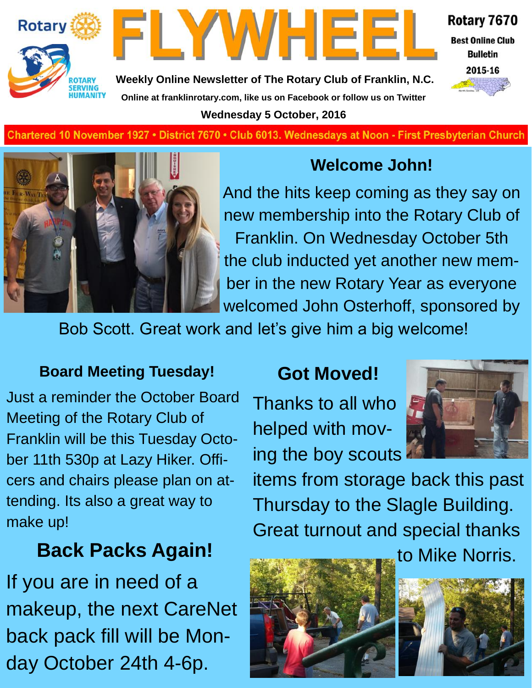



Rotary 7670

**Best Online Club Bulletin** 2015-16



**Weekly Online Newsletter of The Rotary Club of Franklin, N.C. Online at franklinrotary.com, like us on Facebook or follow us on Twitter Wednesday 5 October, 2016**

**Charted November 29, 1927 • District 7670 • Club 6013 Wednesdays at Noon - First Presbyterian Church**



### **Welcome John!**

And the hits keep coming as they say on new membership into the Rotary Club of Franklin. On Wednesday October 5th the club inducted yet another new member in the new Rotary Year as everyone welcomed John Osterhoff, sponsored by

Bob Scott. Great work and let's give him a big welcome!

#### **Board Meeting Tuesday!**

Just a reminder the October Board Meeting of the Rotary Club of Franklin will be this Tuesday October 11th 530p at Lazy Hiker. Officers and chairs please plan on attending. Its also a great way to make up!

### **Back Packs Again! b** to Mike Norris.

If you are in need of a makeup, the next CareNet back pack fill will be Monday October 24th 4-6p.

#### **Got Moved!**

Thanks to all who helped with moving the boy scouts



items from storage back this past Thursday to the Slagle Building. Great turnout and special thanks



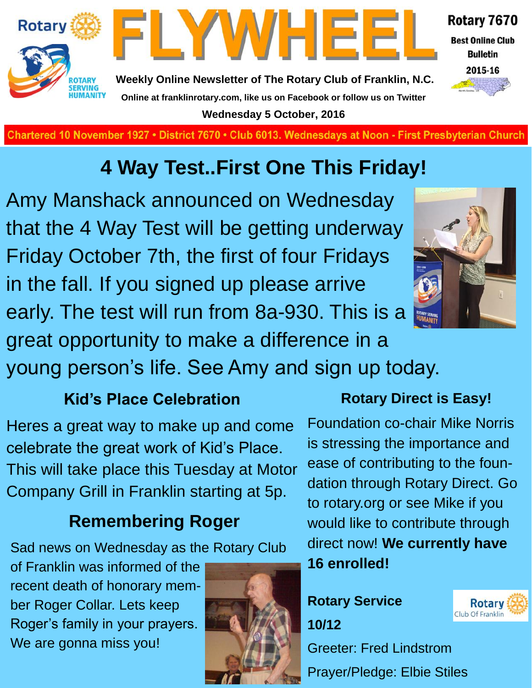

**Wednesday 5 October, 2016**

**Charted November 29, 1927 • District 7670 • Club 6013 Wednesdays at Noon - First Presbyterian Church**

### **4 Way Test..First One This Friday!**

Amy Manshack announced on Wednesday that the 4 Way Test will be getting underway Friday October 7th, the first of four Fridays in the fall. If you signed up please arrive early. The test will run from 8a-930. This is a great opportunity to make a difference in a young person's life. See Amy and sign up today.

![](_page_2_Picture_5.jpeg)

**Kid's Place Celebration**

Heres a great way to make up and come celebrate the great work of Kid's Place. This will take place this Tuesday at Motor Company Grill in Franklin starting at 5p.

#### **Remembering Roger**

Sad news on Wednesday as the Rotary Club

of Franklin was informed of the recent death of honorary member Roger Collar. Lets keep Roger's family in your prayers. We are gonna miss you!

![](_page_2_Picture_11.jpeg)

#### **Rotary Direct is Easy!**

Foundation co-chair Mike Norris is stressing the importance and ease of contributing to the foundation through Rotary Direct. Go to rotary.org or see Mike if you would like to contribute through direct now! **We currently have 16 enrolled!**

#### **Rotary Service 10/12**

![](_page_2_Picture_15.jpeg)

Greeter: Fred Lindstrom Prayer/Pledge: Elbie Stiles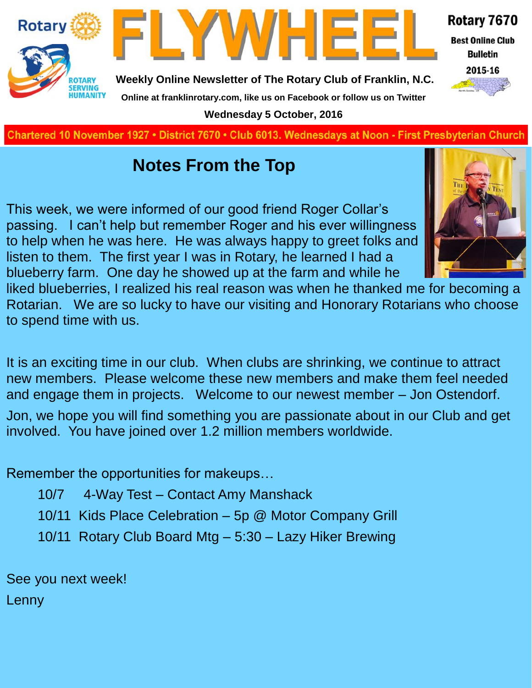![](_page_3_Picture_0.jpeg)

**Charted November 29, 1927 • District 7670 • Club 6013 Wednesdays at Noon - First Presbyterian Church**

#### **Notes From the Top**

This week, we were informed of our good friend Roger Collar's passing. I can't help but remember Roger and his ever willingness to help when he was here. He was always happy to greet folks and listen to them. The first year I was in Rotary, he learned I had a blueberry farm. One day he showed up at the farm and while he

![](_page_3_Picture_4.jpeg)

liked blueberries, I realized his real reason was when he thanked me for becoming a Rotarian. We are so lucky to have our visiting and Honorary Rotarians who choose to spend time with us.

It is an exciting time in our club. When clubs are shrinking, we continue to attract new members. Please welcome these new members and make them feel needed and engage them in projects. Welcome to our newest member – Jon Ostendorf. Jon, we hope you will find something you are passionate about in our Club and get involved. You have joined over 1.2 million members worldwide.

Remember the opportunities for makeups…

- 10/7 4-Way Test Contact Amy Manshack
- 10/11 Kids Place Celebration 5p @ Motor Company Grill
- 10/11 Rotary Club Board Mtg 5:30 Lazy Hiker Brewing

See you next week!

Lenny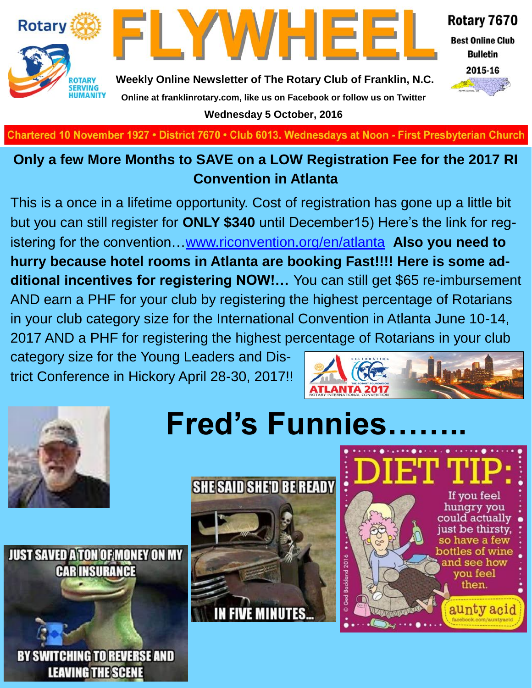![](_page_4_Picture_0.jpeg)

![](_page_4_Picture_1.jpeg)

Rotary 7670

**Best Online Club Bulletin** 

![](_page_4_Picture_4.jpeg)

**Weekly Online Newsletter of The Rotary Club of Franklin, N.C. Online at franklinrotary.com, like us on Facebook or follow us on Twitter Wednesday 5 October, 2016**

Chartered 10 November 1927 • District 7670 • Club 6013. Wednesdays at Noon - First Presbyterian Church

#### **Only a few More Months to SAVE on a LOW Registration Fee for the 2017 RI Convention in Atlanta**

This is a once in a lifetime opportunity. Cost of registration has gone up a little bit but you can still register for **ONLY \$340** until December15) Here's the link for registering for the convention…[www.riconvention.org/en/atlanta](http://www.riconvention.org/en/atlanta) **Also you need to hurry because hotel rooms in Atlanta are booking Fast!!!! Here is some additional incentives for registering NOW!…** You can still get \$65 re-imbursement AND earn a PHF for your club by registering the highest percentage of Rotarians in your club category size for the International Convention in Atlanta June 10-14, 2017 AND a PHF for registering the highest percentage of Rotarians in your club

category size for the Young Leaders and District Conference in Hickory April 28-30, 2017!!

![](_page_4_Picture_10.jpeg)

![](_page_4_Picture_11.jpeg)

**JUST SAVED A TON OF MONEY ON MY CAR INSURANCE** 

![](_page_4_Picture_13.jpeg)

# **Fred's Funnies……..**

![](_page_4_Picture_15.jpeg)

![](_page_4_Picture_16.jpeg)